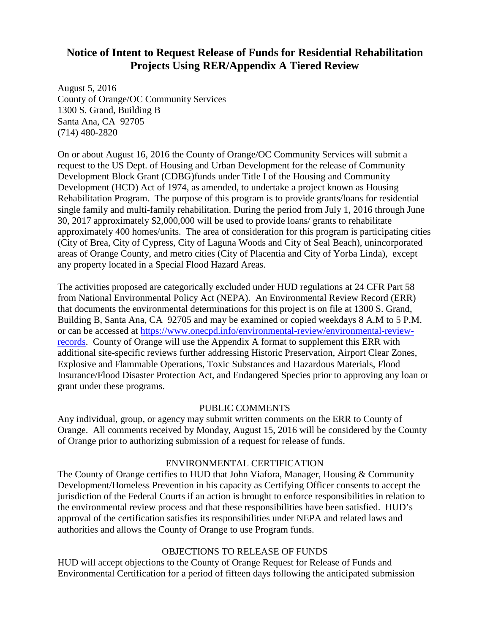## **Notice of Intent to Request Release of Funds for Residential Rehabilitation Projects Using RER/Appendix A Tiered Review**

August 5, 2016 County of Orange/OC Community Services 1300 S. Grand, Building B Santa Ana, CA 92705 (714) 480-2820

On or about August 16, 2016 the County of Orange/OC Community Services will submit a request to the US Dept. of Housing and Urban Development for the release of Community Development Block Grant (CDBG)funds under Title I of the Housing and Community Development (HCD) Act of 1974, as amended, to undertake a project known as Housing Rehabilitation Program. The purpose of this program is to provide grants/loans for residential single family and multi-family rehabilitation. During the period from July 1, 2016 through June 30, 2017 approximately \$2,000,000 will be used to provide loans/ grants to rehabilitate approximately 400 homes/units. The area of consideration for this program is participating cities (City of Brea, City of Cypress, City of Laguna Woods and City of Seal Beach), unincorporated areas of Orange County, and metro cities (City of Placentia and City of Yorba Linda), except any property located in a Special Flood Hazard Areas.

The activities proposed are categorically excluded under HUD regulations at 24 CFR Part 58 from National Environmental Policy Act (NEPA). An Environmental Review Record (ERR) that documents the environmental determinations for this project is on file at 1300 S. Grand, Building B, Santa Ana, CA 92705 and may be examined or copied weekdays 8 A.M to 5 P.M. or can be accessed at [https://www.onecpd.info/environmental-review/environmental-review](https://www.onecpd.info/environmental-review/environmental-review-records)[records.](https://www.onecpd.info/environmental-review/environmental-review-records) County of Orange will use the Appendix A format to supplement this ERR with additional site-specific reviews further addressing Historic Preservation, Airport Clear Zones, Explosive and Flammable Operations, Toxic Substances and Hazardous Materials, Flood Insurance/Flood Disaster Protection Act, and Endangered Species prior to approving any loan or grant under these programs.

## PUBLIC COMMENTS

Any individual, group, or agency may submit written comments on the ERR to County of Orange. All comments received by Monday, August 15, 2016 will be considered by the County of Orange prior to authorizing submission of a request for release of funds.

## ENVIRONMENTAL CERTIFICATION

The County of Orange certifies to HUD that John Viafora, Manager, Housing & Community Development/Homeless Prevention in his capacity as Certifying Officer consents to accept the jurisdiction of the Federal Courts if an action is brought to enforce responsibilities in relation to the environmental review process and that these responsibilities have been satisfied. HUD's approval of the certification satisfies its responsibilities under NEPA and related laws and authorities and allows the County of Orange to use Program funds.

## OBJECTIONS TO RELEASE OF FUNDS

HUD will accept objections to the County of Orange Request for Release of Funds and Environmental Certification for a period of fifteen days following the anticipated submission